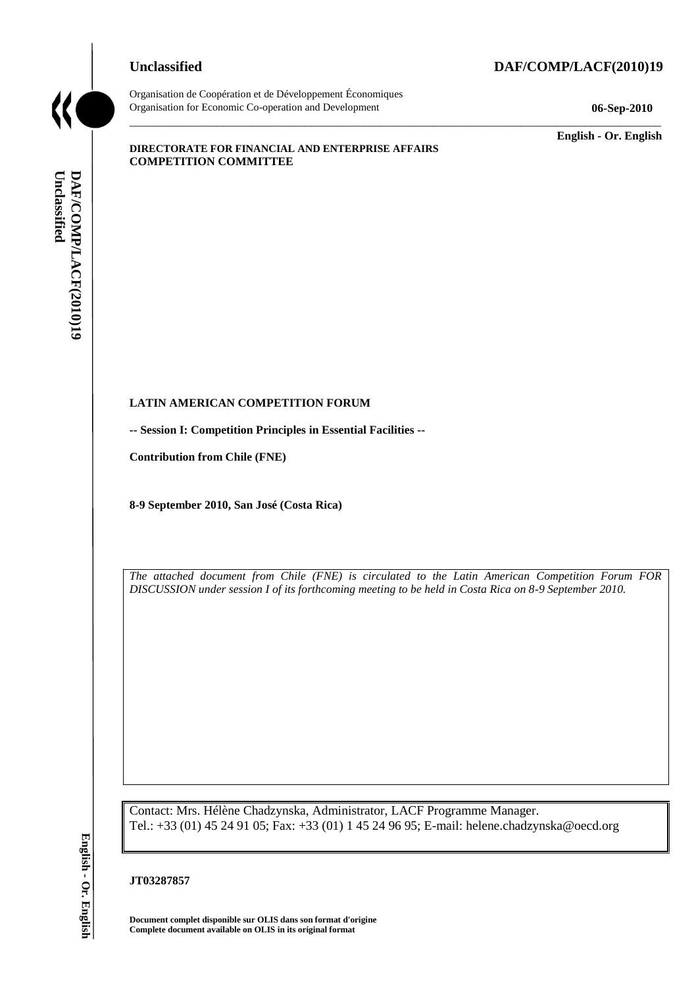## **Unclassified DAF/COMP/LACF(2010)19**



Organisation de Coopération et de Développement Économiques Organisation for Economic Co-operation and Development **06-Sep-2010**

\_\_\_\_\_\_\_\_\_\_\_\_\_ **English - Or. English**

#### **DIRECTORATE FOR FINANCIAL AND ENTERPRISE AFFAIRS COMPETITION COMMITTEE**

#### **LATIN AMERICAN COMPETITION FORUM**

**-- Session I: Competition Principles in Essential Facilities --**

**Contribution from Chile (FNE)**

**8-9 September 2010, San José (Costa Rica)**

*The attached document from Chile (FNE) is circulated to the Latin American Competition Forum FOR DISCUSSION under session I of its forthcoming meeting to be held in Costa Rica on 8-9 September 2010.*

\_\_\_\_\_\_\_\_\_\_\_\_\_\_\_\_\_\_\_\_\_\_\_\_\_\_\_\_\_\_\_\_\_\_\_\_\_\_\_\_\_\_\_\_\_\_\_\_\_\_\_\_\_\_\_\_\_\_\_\_\_\_\_\_\_\_\_\_\_\_\_\_\_\_\_\_\_\_\_\_\_\_\_\_\_\_\_\_\_\_\_

Contact: Mrs. Hélène Chadzynska, Administrator, LACF Programme Manager. Tel.: +33 (01) 45 24 91 05; Fax: +33 (01) 1 45 24 96 95; E-mail: helene.chadzynska@oecd.org **Complete document available on OLIS duas son format document complete document available on OLIS duas son format Complete document and DAF/COMP/LACF(2010)199<br>
<b>Contact:** Mrs. Hélène Chadzynska, Administration of the *CNE* 

#### **JT03287857**

**Document complet disponible sur OLIS dans son format d'origine**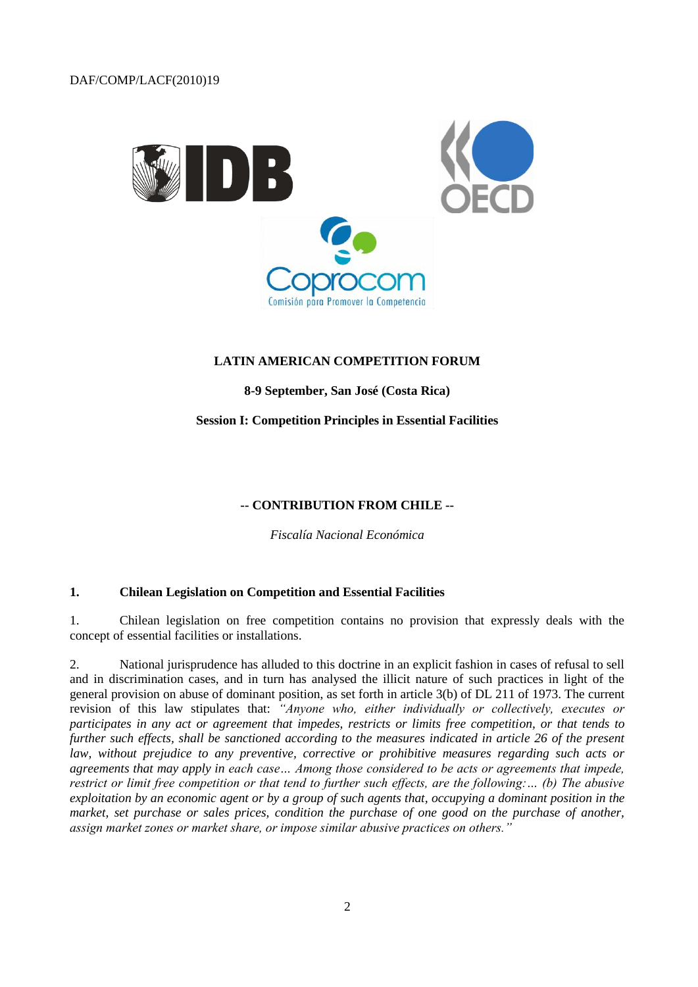

#### **LATIN AMERICAN COMPETITION FORUM**

**8-9 September, San José (Costa Rica)**

#### **Session I: Competition Principles in Essential Facilities**

#### **-- CONTRIBUTION FROM CHILE --**

*Fiscalía Nacional Económica*

#### **1. Chilean Legislation on Competition and Essential Facilities**

1. Chilean legislation on free competition contains no provision that expressly deals with the concept of essential facilities or installations.

2. National jurisprudence has alluded to this doctrine in an explicit fashion in cases of refusal to sell and in discrimination cases, and in turn has analysed the illicit nature of such practices in light of the general provision on abuse of dominant position, as set forth in article 3(b) of DL 211 of 1973. The current revision of this law stipulates that: *"Anyone who, either individually or collectively, executes or participates in any act or agreement that impedes, restricts or limits free competition, or that tends to further such effects, shall be sanctioned according to the measures indicated in article 26 of the present law, without prejudice to any preventive, corrective or prohibitive measures regarding such acts or agreements that may apply in each case… Among those considered to be acts or agreements that impede, restrict or limit free competition or that tend to further such effects, are the following:... (b) The abusive exploitation by an economic agent or by a group of such agents that, occupying a dominant position in the*  market, set purchase or sales prices, condition the purchase of one good on the purchase of another, *assign market zones or market share, or impose similar abusive practices on others."*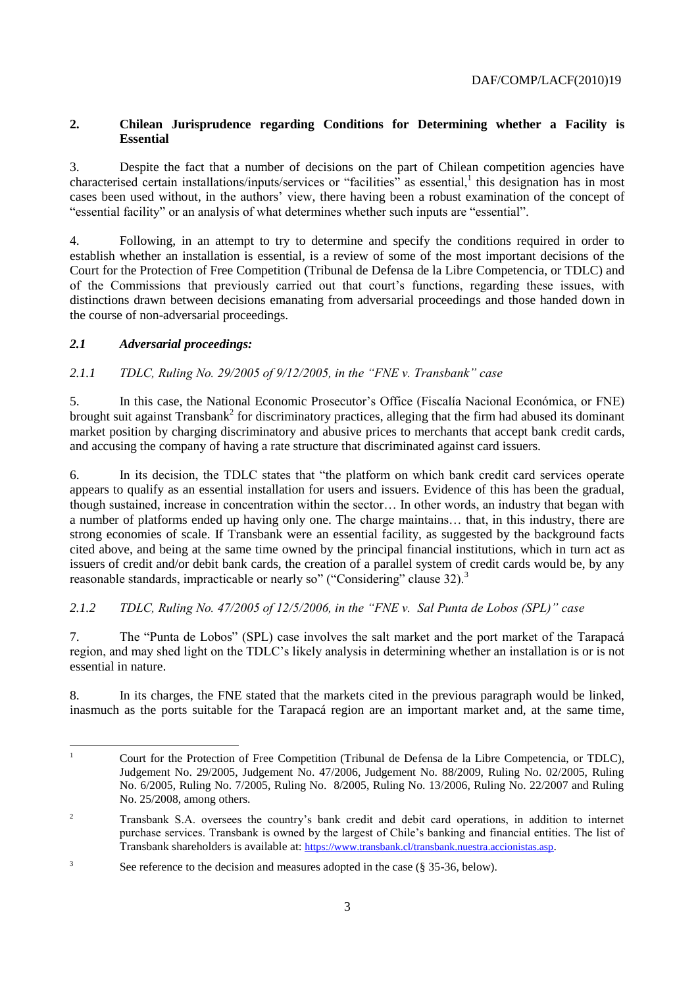## **2. Chilean Jurisprudence regarding Conditions for Determining whether a Facility is Essential**

3. Despite the fact that a number of decisions on the part of Chilean competition agencies have characterised certain installations/inputs/services or "facilities" as essential,<sup>1</sup> this designation has in most cases been used without, in the authors' view, there having been a robust examination of the concept of "essential facility" or an analysis of what determines whether such inputs are "essential".

4. Following, in an attempt to try to determine and specify the conditions required in order to establish whether an installation is essential, is a review of some of the most important decisions of the Court for the Protection of Free Competition (Tribunal de Defensa de la Libre Competencia, or TDLC) and of the Commissions that previously carried out that court's functions, regarding these issues, with distinctions drawn between decisions emanating from adversarial proceedings and those handed down in the course of non-adversarial proceedings.

## *2.1 Adversarial proceedings:*

## *2.1.1 TDLC, Ruling No. 29/2005 of 9/12/2005, in the "FNE v. Transbank" case*

5. In this case, the National Economic Prosecutor's Office (Fiscalía Nacional Económica, or FNE) brought suit against Transbank<sup>2</sup> for discriminatory practices, alleging that the firm had abused its dominant market position by charging discriminatory and abusive prices to merchants that accept bank credit cards, and accusing the company of having a rate structure that discriminated against card issuers.

6. In its decision, the TDLC states that "the platform on which bank credit card services operate appears to qualify as an essential installation for users and issuers. Evidence of this has been the gradual, though sustained, increase in concentration within the sector… In other words, an industry that began with a number of platforms ended up having only one. The charge maintains… that, in this industry, there are strong economies of scale. If Transbank were an essential facility, as suggested by the background facts cited above, and being at the same time owned by the principal financial institutions, which in turn act as issuers of credit and/or debit bank cards, the creation of a parallel system of credit cards would be, by any reasonable standards, impracticable or nearly so" ("Considering" clause 32).<sup>3</sup>

## *2.1.2 TDLC, Ruling No. 47/2005 of 12/5/2006, in the "FNE v. Sal Punta de Lobos (SPL)" case*

7. The "Punta de Lobos" (SPL) case involves the salt market and the port market of the Tarapacá region, and may shed light on the TDLC's likely analysis in determining whether an installation is or is not essential in nature.

8. In its charges, the FNE stated that the markets cited in the previous paragraph would be linked, inasmuch as the ports suitable for the Tarapacá region are an important market and, at the same time,

 $\mathbf{1}$ <sup>1</sup> Court for the Protection of Free Competition (Tribunal de Defensa de la Libre Competencia, or TDLC), Judgement No. 29/2005, Judgement No. 47/2006, Judgement No. 88/2009, Ruling No. 02/2005, Ruling No. 6/2005, Ruling No. 7/2005, Ruling No. 8/2005, Ruling No. 13/2006, Ruling No. 22/2007 and Ruling No. 25/2008, among others.

<sup>2</sup> Transbank S.A. oversees the country's bank credit and debit card operations, in addition to internet purchase services. Transbank is owned by the largest of Chile's banking and financial entities. The list of Transbank shareholders is available at: <https://www.transbank.cl/transbank.nuestra.accionistas.asp>.

<sup>&</sup>lt;sup>3</sup> See reference to the decision and measures adopted in the case (§ 35-36, below).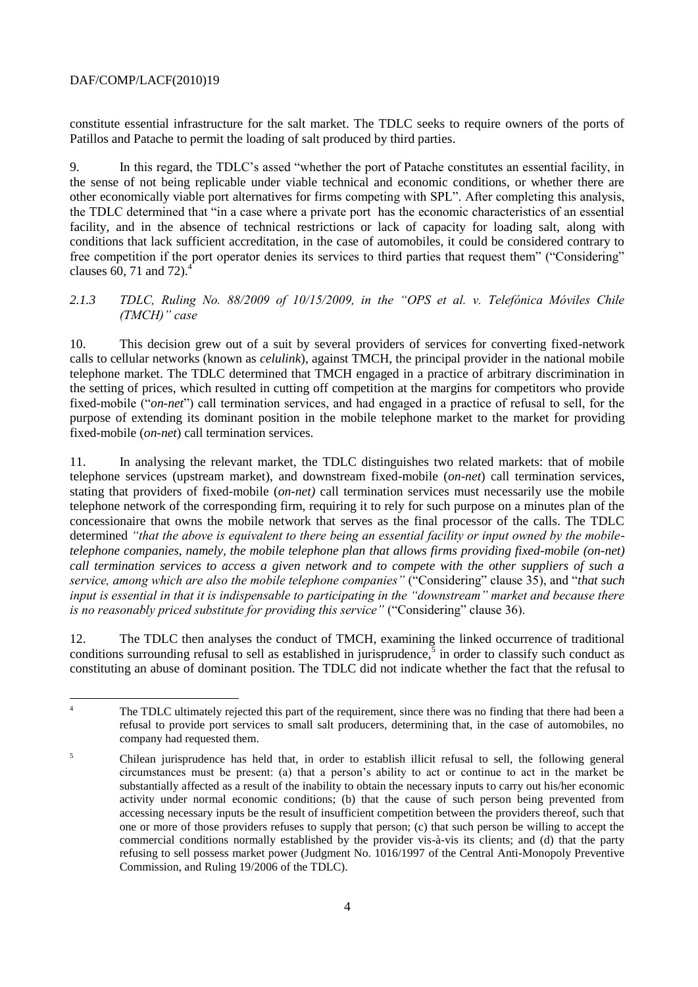constitute essential infrastructure for the salt market. The TDLC seeks to require owners of the ports of Patillos and Patache to permit the loading of salt produced by third parties.

9. In this regard, the TDLC's assed "whether the port of Patache constitutes an essential facility, in the sense of not being replicable under viable technical and economic conditions, or whether there are other economically viable port alternatives for firms competing with SPL". After completing this analysis, the TDLC determined that "in a case where a private port has the economic characteristics of an essential facility, and in the absence of technical restrictions or lack of capacity for loading salt, along with conditions that lack sufficient accreditation, in the case of automobiles, it could be considered contrary to free competition if the port operator denies its services to third parties that request them" ("Considering" clauses 60, 71 and 72 $^4$ .

#### *2.1.3 TDLC, Ruling No. 88/2009 of 10/15/2009, in the "OPS et al. v. Telefónica Móviles Chile (TMCH)" case*

10. This decision grew out of a suit by several providers of services for converting fixed-network calls to cellular networks (known as *celulink*), against TMCH, the principal provider in the national mobile telephone market. The TDLC determined that TMCH engaged in a practice of arbitrary discrimination in the setting of prices, which resulted in cutting off competition at the margins for competitors who provide fixed-mobile ("*on-net*") call termination services, and had engaged in a practice of refusal to sell, for the purpose of extending its dominant position in the mobile telephone market to the market for providing fixed-mobile (*on-net*) call termination services.

11. In analysing the relevant market, the TDLC distinguishes two related markets: that of mobile telephone services (upstream market), and downstream fixed-mobile (*on-net*) call termination services, stating that providers of fixed-mobile (*on-net)* call termination services must necessarily use the mobile telephone network of the corresponding firm, requiring it to rely for such purpose on a minutes plan of the concessionaire that owns the mobile network that serves as the final processor of the calls. The TDLC determined *"that the above is equivalent to there being an essential facility or input owned by the mobiletelephone companies, namely, the mobile telephone plan that allows firms providing fixed-mobile (on-net) call termination services to access a given network and to compete with the other suppliers of such a service, among which are also the mobile telephone companies"* ("Considering" clause 35), and "*that such input is essential in that it is indispensable to participating in the "downstream" market and because there is no reasonably priced substitute for providing this service"* ("Considering" clause 36).

12. The TDLC then analyses the conduct of TMCH, examining the linked occurrence of traditional conditions surrounding refusal to sell as established in jurisprudence, $\frac{1}{5}$  in order to classify such conduct as constituting an abuse of dominant position. The TDLC did not indicate whether the fact that the refusal to

 $\overline{4}$ The TDLC ultimately rejected this part of the requirement, since there was no finding that there had been a refusal to provide port services to small salt producers, determining that, in the case of automobiles, no company had requested them.

<sup>&</sup>lt;sup>5</sup> Chilean jurisprudence has held that, in order to establish illicit refusal to sell, the following general circumstances must be present: (a) that a person's ability to act or continue to act in the market be substantially affected as a result of the inability to obtain the necessary inputs to carry out his/her economic activity under normal economic conditions; (b) that the cause of such person being prevented from accessing necessary inputs be the result of insufficient competition between the providers thereof, such that one or more of those providers refuses to supply that person; (c) that such person be willing to accept the commercial conditions normally established by the provider vis-à-vis its clients; and (d) that the party refusing to sell possess market power (Judgment No. 1016/1997 of the Central Anti-Monopoly Preventive Commission, and Ruling 19/2006 of the TDLC).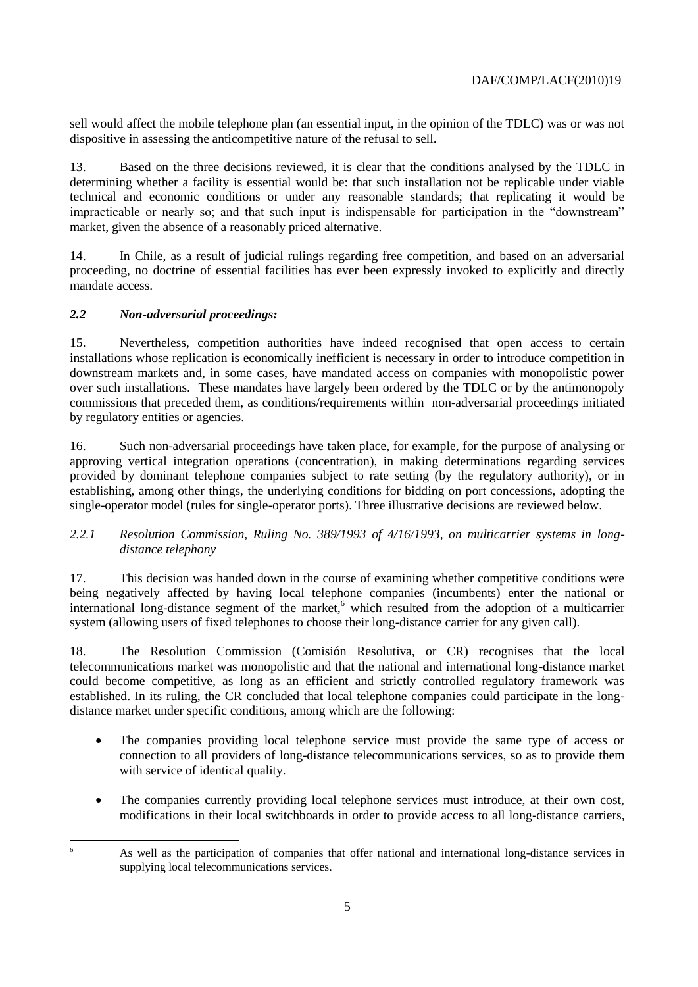sell would affect the mobile telephone plan (an essential input, in the opinion of the TDLC) was or was not dispositive in assessing the anticompetitive nature of the refusal to sell.

13. Based on the three decisions reviewed, it is clear that the conditions analysed by the TDLC in determining whether a facility is essential would be: that such installation not be replicable under viable technical and economic conditions or under any reasonable standards; that replicating it would be impracticable or nearly so; and that such input is indispensable for participation in the "downstream" market, given the absence of a reasonably priced alternative.

14. In Chile, as a result of judicial rulings regarding free competition, and based on an adversarial proceeding, no doctrine of essential facilities has ever been expressly invoked to explicitly and directly mandate access.

## *2.2 Non-adversarial proceedings:*

15. Nevertheless, competition authorities have indeed recognised that open access to certain installations whose replication is economically inefficient is necessary in order to introduce competition in downstream markets and, in some cases, have mandated access on companies with monopolistic power over such installations. These mandates have largely been ordered by the TDLC or by the antimonopoly commissions that preceded them, as conditions/requirements within non-adversarial proceedings initiated by regulatory entities or agencies.

16. Such non-adversarial proceedings have taken place, for example, for the purpose of analysing or approving vertical integration operations (concentration), in making determinations regarding services provided by dominant telephone companies subject to rate setting (by the regulatory authority), or in establishing, among other things, the underlying conditions for bidding on port concessions, adopting the single-operator model (rules for single-operator ports). Three illustrative decisions are reviewed below.

#### *2.2.1 Resolution Commission, Ruling No. 389/1993 of 4/16/1993, on multicarrier systems in longdistance telephony*

17. This decision was handed down in the course of examining whether competitive conditions were being negatively affected by having local telephone companies (incumbents) enter the national or international long-distance segment of the market, $6$  which resulted from the adoption of a multicarrier system (allowing users of fixed telephones to choose their long-distance carrier for any given call).

18. The Resolution Commission (Comisión Resolutiva, or CR) recognises that the local telecommunications market was monopolistic and that the national and international long-distance market could become competitive, as long as an efficient and strictly controlled regulatory framework was established. In its ruling, the CR concluded that local telephone companies could participate in the longdistance market under specific conditions, among which are the following:

- The companies providing local telephone service must provide the same type of access or connection to all providers of long-distance telecommunications services, so as to provide them with service of identical quality.
- The companies currently providing local telephone services must introduce, at their own cost, modifications in their local switchboards in order to provide access to all long-distance carriers,

6

As well as the participation of companies that offer national and international long-distance services in supplying local telecommunications services.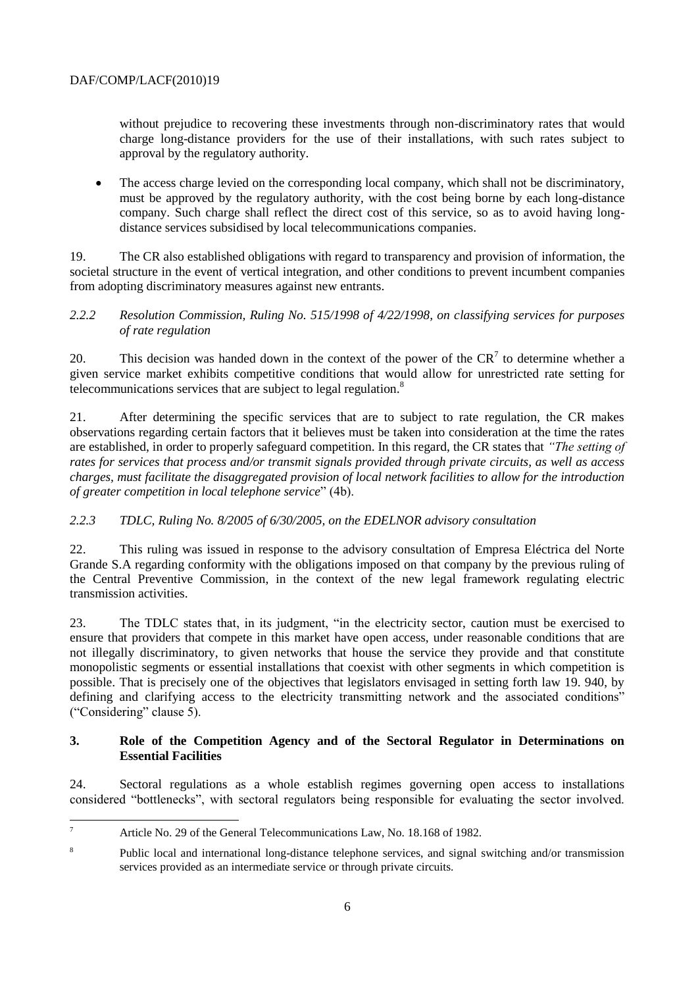without prejudice to recovering these investments through non-discriminatory rates that would charge long-distance providers for the use of their installations, with such rates subject to approval by the regulatory authority.

• The access charge levied on the corresponding local company, which shall not be discriminatory, must be approved by the regulatory authority, with the cost being borne by each long-distance company. Such charge shall reflect the direct cost of this service, so as to avoid having longdistance services subsidised by local telecommunications companies.

19. The CR also established obligations with regard to transparency and provision of information, the societal structure in the event of vertical integration, and other conditions to prevent incumbent companies from adopting discriminatory measures against new entrants.

#### *2.2.2 Resolution Commission, Ruling No. 515/1998 of 4/22/1998, on classifying services for purposes of rate regulation*

20. This decision was handed down in the context of the power of the  $CR<sup>7</sup>$  to determine whether a given service market exhibits competitive conditions that would allow for unrestricted rate setting for telecommunications services that are subject to legal regulation.<sup>8</sup>

21. After determining the specific services that are to subject to rate regulation, the CR makes observations regarding certain factors that it believes must be taken into consideration at the time the rates are established, in order to properly safeguard competition. In this regard, the CR states that *"The setting of rates for services that process and/or transmit signals provided through private circuits, as well as access charges, must facilitate the disaggregated provision of local network facilities to allow for the introduction of greater competition in local telephone service*" (4b).

## *2.2.3 TDLC, Ruling No. 8/2005 of 6/30/2005, on the EDELNOR advisory consultation*

22. This ruling was issued in response to the advisory consultation of Empresa Eléctrica del Norte Grande S.A regarding conformity with the obligations imposed on that company by the previous ruling of the Central Preventive Commission, in the context of the new legal framework regulating electric transmission activities.

23. The TDLC states that, in its judgment, "in the electricity sector, caution must be exercised to ensure that providers that compete in this market have open access, under reasonable conditions that are not illegally discriminatory, to given networks that house the service they provide and that constitute monopolistic segments or essential installations that coexist with other segments in which competition is possible. That is precisely one of the objectives that legislators envisaged in setting forth law 19. 940, by defining and clarifying access to the electricity transmitting network and the associated conditions" ("Considering" clause 5).

#### **3. Role of the Competition Agency and of the Sectoral Regulator in Determinations on Essential Facilities**

24. Sectoral regulations as a whole establish regimes governing open access to installations considered "bottlenecks", with sectoral regulators being responsible for evaluating the sector involved.

 $\overline{7}$ <sup>7</sup> Article No. 29 of the General Telecommunications Law, No. 18.168 of 1982.

<sup>&</sup>lt;sup>8</sup> Public local and international long-distance telephone services, and signal switching and/or transmission services provided as an intermediate service or through private circuits.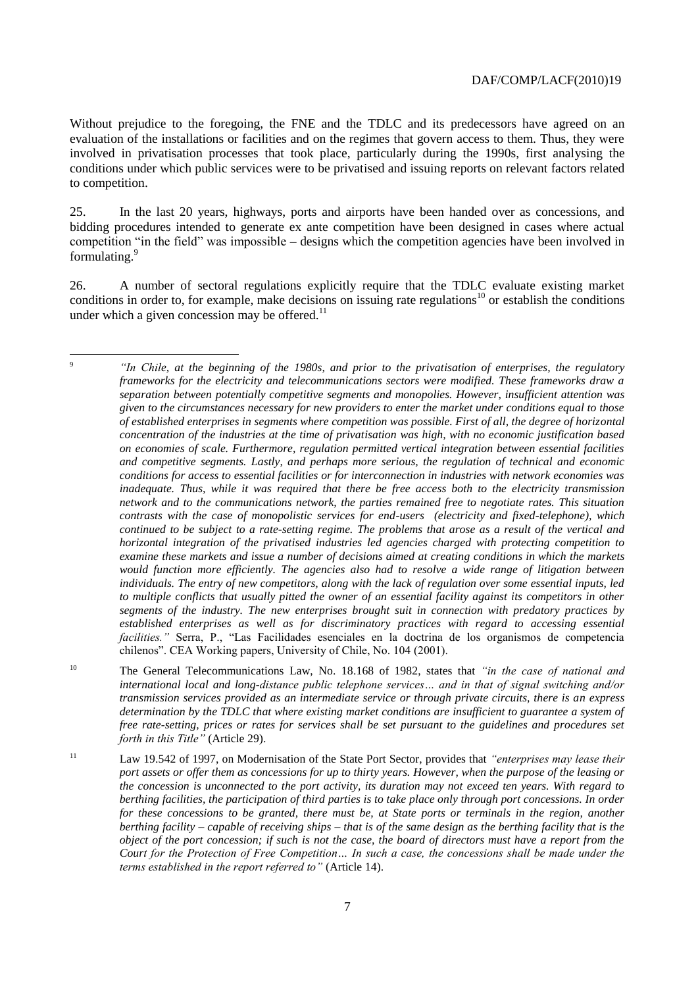Without prejudice to the foregoing, the FNE and the TDLC and its predecessors have agreed on an evaluation of the installations or facilities and on the regimes that govern access to them. Thus, they were involved in privatisation processes that took place, particularly during the 1990s, first analysing the conditions under which public services were to be privatised and issuing reports on relevant factors related to competition.

25. In the last 20 years, highways, ports and airports have been handed over as concessions, and bidding procedures intended to generate ex ante competition have been designed in cases where actual competition "in the field" was impossible – designs which the competition agencies have been involved in formulating.<sup>9</sup>

26. A number of sectoral regulations explicitly require that the TDLC evaluate existing market conditions in order to, for example, make decisions on issuing rate regulations<sup>10</sup> or establish the conditions under which a given concession may be offered. $^{11}$ 

 $\overline{Q}$ <sup>9</sup> *"In Chile, at the beginning of the 1980s, and prior to the privatisation of enterprises, the regulatory frameworks for the electricity and telecommunications sectors were modified. These frameworks draw a separation between potentially competitive segments and monopolies. However, insufficient attention was given to the circumstances necessary for new providers to enter the market under conditions equal to those of established enterprises in segments where competition was possible. First of all, the degree of horizontal concentration of the industries at the time of privatisation was high, with no economic justification based on economies of scale. Furthermore, regulation permitted vertical integration between essential facilities and competitive segments. Lastly, and perhaps more serious, the regulation of technical and economic conditions for access to essential facilities or for interconnection in industries with network economies was inadequate. Thus, while it was required that there be free access both to the electricity transmission network and to the communications network, the parties remained free to negotiate rates. This situation contrasts with the case of monopolistic services for end-users (electricity and fixed-telephone), which continued to be subject to a rate-setting regime. The problems that arose as a result of the vertical and horizontal integration of the privatised industries led agencies charged with protecting competition to examine these markets and issue a number of decisions aimed at creating conditions in which the markets would function more efficiently. The agencies also had to resolve a wide range of litigation between individuals. The entry of new competitors, along with the lack of regulation over some essential inputs, led to multiple conflicts that usually pitted the owner of an essential facility against its competitors in other segments of the industry. The new enterprises brought suit in connection with predatory practices by established enterprises as well as for discriminatory practices with regard to accessing essential facilities."* Serra, P., "Las Facilidades esenciales en la doctrina de los organismos de competencia chilenos". CEA Working papers, University of Chile, No. 104 (2001).

<sup>10</sup> The General Telecommunications Law, No. 18.168 of 1982, states that *"in the case of national and international local and long-distance public telephone services… and in that of signal switching and/or transmission services provided as an intermediate service or through private circuits, there is an express determination by the TDLC that where existing market conditions are insufficient to guarantee a system of free rate-setting, prices or rates for services shall be set pursuant to the guidelines and procedures set forth in this Title"* (Article 29).

<sup>11</sup> Law 19.542 of 1997, on Modernisation of the State Port Sector, provides that *"enterprises may lease their port assets or offer them as concessions for up to thirty years. However, when the purpose of the leasing or the concession is unconnected to the port activity, its duration may not exceed ten years. With regard to berthing facilities, the participation of third parties is to take place only through port concessions. In order for these concessions to be granted, there must be, at State ports or terminals in the region, another berthing facility – capable of receiving ships – that is of the same design as the berthing facility that is the object of the port concession; if such is not the case, the board of directors must have a report from the Court for the Protection of Free Competition… In such a case, the concessions shall be made under the terms established in the report referred to"* (Article 14).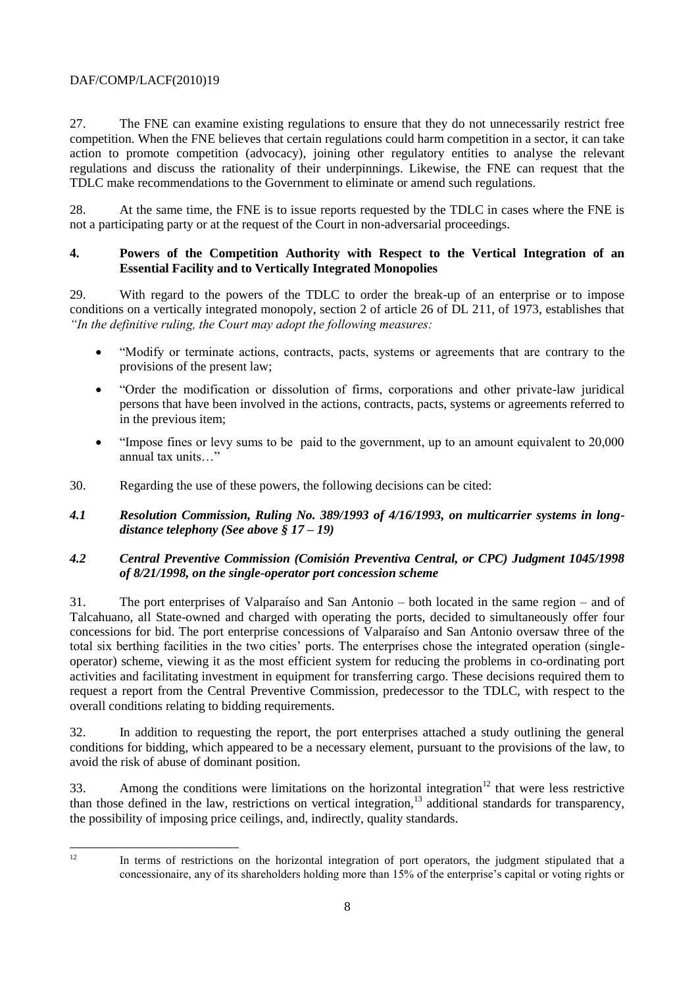27. The FNE can examine existing regulations to ensure that they do not unnecessarily restrict free competition. When the FNE believes that certain regulations could harm competition in a sector, it can take action to promote competition (advocacy), joining other regulatory entities to analyse the relevant regulations and discuss the rationality of their underpinnings. Likewise, the FNE can request that the TDLC make recommendations to the Government to eliminate or amend such regulations.

28. At the same time, the FNE is to issue reports requested by the TDLC in cases where the FNE is not a participating party or at the request of the Court in non-adversarial proceedings.

## **4. Powers of the Competition Authority with Respect to the Vertical Integration of an Essential Facility and to Vertically Integrated Monopolies**

29. With regard to the powers of the TDLC to order the break-up of an enterprise or to impose conditions on a vertically integrated monopoly, section 2 of article 26 of DL 211, of 1973, establishes that *"In the definitive ruling, the Court may adopt the following measures:* 

- "Modify or terminate actions, contracts, pacts, systems or agreements that are contrary to the provisions of the present law;
- "Order the modification or dissolution of firms, corporations and other private-law juridical persons that have been involved in the actions, contracts, pacts, systems or agreements referred to in the previous item;
- "Impose fines or levy sums to be paid to the government, up to an amount equivalent to 20,000 annual tax units…"
- 30. Regarding the use of these powers, the following decisions can be cited:
- *4.1 Resolution Commission, Ruling No. 389/1993 of 4/16/1993, on multicarrier systems in longdistance telephony (See above § 17 – 19)*

## *4.2 Central Preventive Commission (Comisión Preventiva Central, or CPC) Judgment 1045/1998 of 8/21/1998, on the single-operator port concession scheme*

31. The port enterprises of Valparaíso and San Antonio – both located in the same region – and of Talcahuano, all State-owned and charged with operating the ports, decided to simultaneously offer four concessions for bid. The port enterprise concessions of Valparaíso and San Antonio oversaw three of the total six berthing facilities in the two cities' ports. The enterprises chose the integrated operation (singleoperator) scheme, viewing it as the most efficient system for reducing the problems in co-ordinating port activities and facilitating investment in equipment for transferring cargo. These decisions required them to request a report from the Central Preventive Commission, predecessor to the TDLC, with respect to the overall conditions relating to bidding requirements.

32. In addition to requesting the report, the port enterprises attached a study outlining the general conditions for bidding, which appeared to be a necessary element, pursuant to the provisions of the law, to avoid the risk of abuse of dominant position.

33. Among the conditions were limitations on the horizontal integration<sup>12</sup> that were less restrictive than those defined in the law, restrictions on vertical integration,<sup>13</sup> additional standards for transparency, the possibility of imposing price ceilings, and, indirectly, quality standards.

 $12<sup>12</sup>$ 

In terms of restrictions on the horizontal integration of port operators, the judgment stipulated that a concessionaire, any of its shareholders holding more than 15% of the enterprise's capital or voting rights or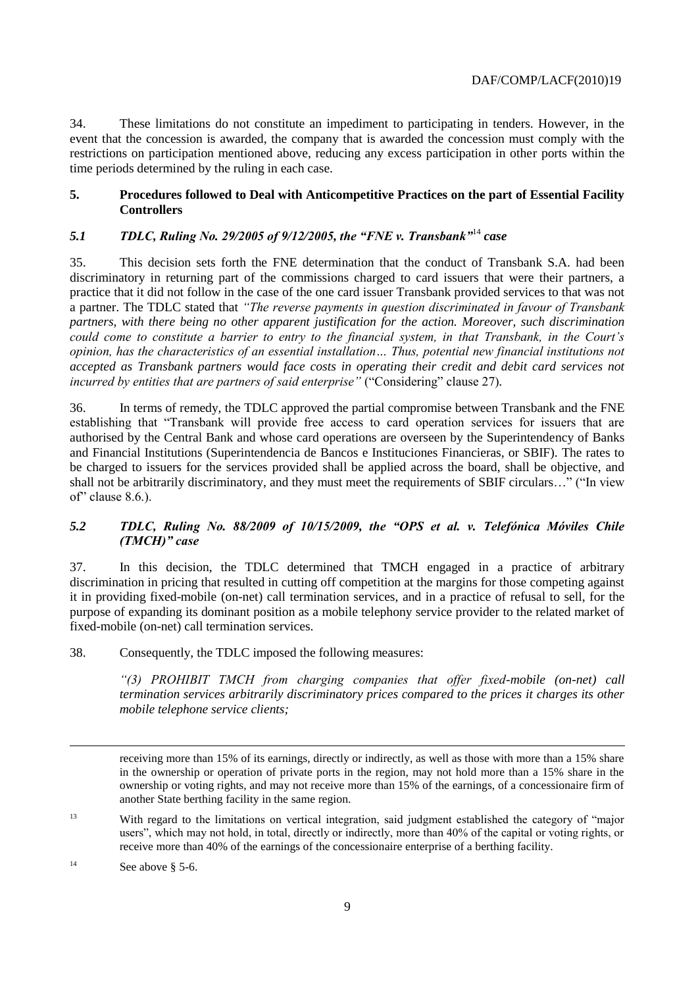34. These limitations do not constitute an impediment to participating in tenders. However, in the event that the concession is awarded, the company that is awarded the concession must comply with the restrictions on participation mentioned above, reducing any excess participation in other ports within the time periods determined by the ruling in each case.

#### **5. Procedures followed to Deal with Anticompetitive Practices on the part of Essential Facility Controllers**

## *5.1 TDLC, Ruling No. 29/2005 of 9/12/2005, the "FNE v. Transbank"*<sup>14</sup> *case*

35. This decision sets forth the FNE determination that the conduct of Transbank S.A. had been discriminatory in returning part of the commissions charged to card issuers that were their partners, a practice that it did not follow in the case of the one card issuer Transbank provided services to that was not a partner. The TDLC stated that *"The reverse payments in question discriminated in favour of Transbank partners, with there being no other apparent justification for the action. Moreover, such discrimination could come to constitute a barrier to entry to the financial system, in that Transbank, in the Court's opinion, has the characteristics of an essential installation… Thus, potential new financial institutions not accepted as Transbank partners would face costs in operating their credit and debit card services not incurred by entities that are partners of said enterprise"* ("Considering" clause 27)*.*

36. In terms of remedy, the TDLC approved the partial compromise between Transbank and the FNE establishing that "Transbank will provide free access to card operation services for issuers that are authorised by the Central Bank and whose card operations are overseen by the Superintendency of Banks and Financial Institutions (Superintendencia de Bancos e Instituciones Financieras, or SBIF). The rates to be charged to issuers for the services provided shall be applied across the board, shall be objective, and shall not be arbitrarily discriminatory, and they must meet the requirements of SBIF circulars…" ("In view of" clause 8.6.).

#### *5.2 TDLC, Ruling No. 88/2009 of 10/15/2009, the "OPS et al. v. Telefónica Móviles Chile (TMCH)" case*

37. In this decision, the TDLC determined that TMCH engaged in a practice of arbitrary discrimination in pricing that resulted in cutting off competition at the margins for those competing against it in providing fixed-mobile (on-net) call termination services, and in a practice of refusal to sell, for the purpose of expanding its dominant position as a mobile telephony service provider to the related market of fixed-mobile (on-net) call termination services.

38. Consequently, the TDLC imposed the following measures:

*"(3) PROHIBIT TMCH from charging companies that offer fixed-mobile (on-net) call termination services arbitrarily discriminatory prices compared to the prices it charges its other mobile telephone service clients;* 

 $\overline{a}$ 

receiving more than 15% of its earnings, directly or indirectly, as well as those with more than a 15% share in the ownership or operation of private ports in the region, may not hold more than a 15% share in the ownership or voting rights, and may not receive more than 15% of the earnings, of a concessionaire firm of another State berthing facility in the same region.

<sup>&</sup>lt;sup>13</sup> With regard to the limitations on vertical integration, said judgment established the category of "major" users", which may not hold, in total, directly or indirectly, more than 40% of the capital or voting rights, or receive more than 40% of the earnings of the concessionaire enterprise of a berthing facility.

<sup>&</sup>lt;sup>14</sup> See above § 5-6.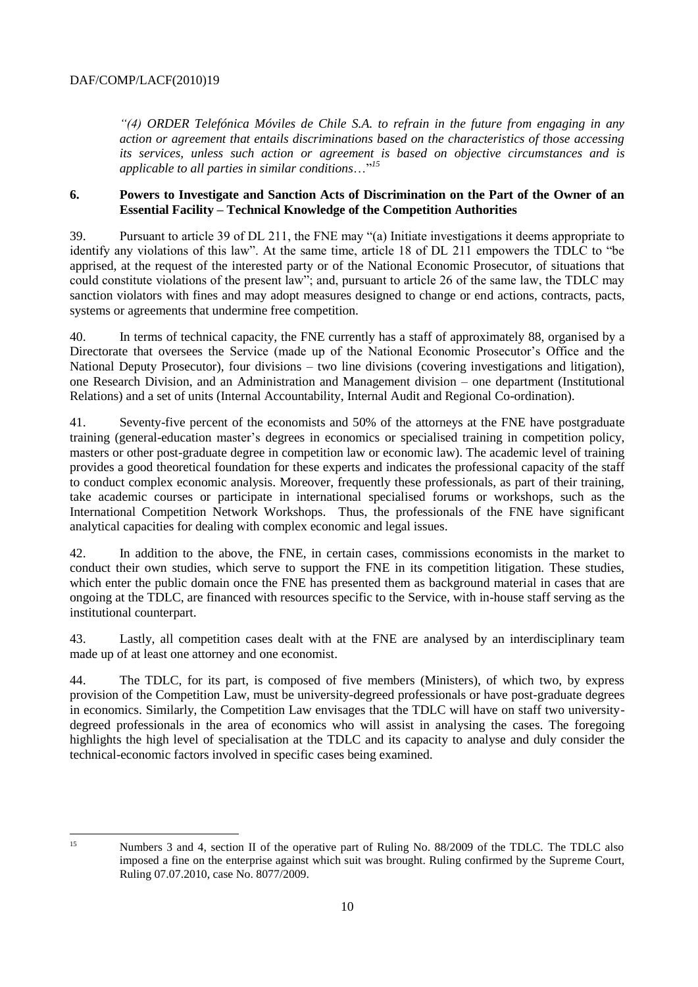*"(4) ORDER Telefónica Móviles de Chile S.A. to refrain in the future from engaging in any action or agreement that entails discriminations based on the characteristics of those accessing its services, unless such action or agreement is based on objective circumstances and is applicable to all parties in similar conditions*…"*<sup>15</sup>*

#### **6. Powers to Investigate and Sanction Acts of Discrimination on the Part of the Owner of an Essential Facility – Technical Knowledge of the Competition Authorities**

39. Pursuant to article 39 of DL 211, the FNE may "(a) Initiate investigations it deems appropriate to identify any violations of this law". At the same time, article 18 of DL 211 empowers the TDLC to "be apprised, at the request of the interested party or of the National Economic Prosecutor, of situations that could constitute violations of the present law"; and, pursuant to article 26 of the same law, the TDLC may sanction violators with fines and may adopt measures designed to change or end actions, contracts, pacts, systems or agreements that undermine free competition.

40. In terms of technical capacity, the FNE currently has a staff of approximately 88, organised by a Directorate that oversees the Service (made up of the National Economic Prosecutor's Office and the National Deputy Prosecutor), four divisions – two line divisions (covering investigations and litigation), one Research Division, and an Administration and Management division – one department (Institutional Relations) and a set of units (Internal Accountability, Internal Audit and Regional Co-ordination).

41. Seventy-five percent of the economists and 50% of the attorneys at the FNE have postgraduate training (general-education master's degrees in economics or specialised training in competition policy, masters or other post-graduate degree in competition law or economic law). The academic level of training provides a good theoretical foundation for these experts and indicates the professional capacity of the staff to conduct complex economic analysis. Moreover, frequently these professionals, as part of their training, take academic courses or participate in international specialised forums or workshops, such as the International Competition Network Workshops. Thus, the professionals of the FNE have significant analytical capacities for dealing with complex economic and legal issues.

42. In addition to the above, the FNE, in certain cases, commissions economists in the market to conduct their own studies, which serve to support the FNE in its competition litigation. These studies, which enter the public domain once the FNE has presented them as background material in cases that are ongoing at the TDLC, are financed with resources specific to the Service, with in-house staff serving as the institutional counterpart.

43. Lastly, all competition cases dealt with at the FNE are analysed by an interdisciplinary team made up of at least one attorney and one economist.

44. The TDLC, for its part, is composed of five members (Ministers), of which two, by express provision of the Competition Law, must be university-degreed professionals or have post-graduate degrees in economics. Similarly, the Competition Law envisages that the TDLC will have on staff two universitydegreed professionals in the area of economics who will assist in analysing the cases. The foregoing highlights the high level of specialisation at the TDLC and its capacity to analyse and duly consider the technical-economic factors involved in specific cases being examined.

 $15$ 

Numbers 3 and 4, section II of the operative part of Ruling No. 88/2009 of the TDLC. The TDLC also imposed a fine on the enterprise against which suit was brought. Ruling confirmed by the Supreme Court, Ruling 07.07.2010, case No. 8077/2009.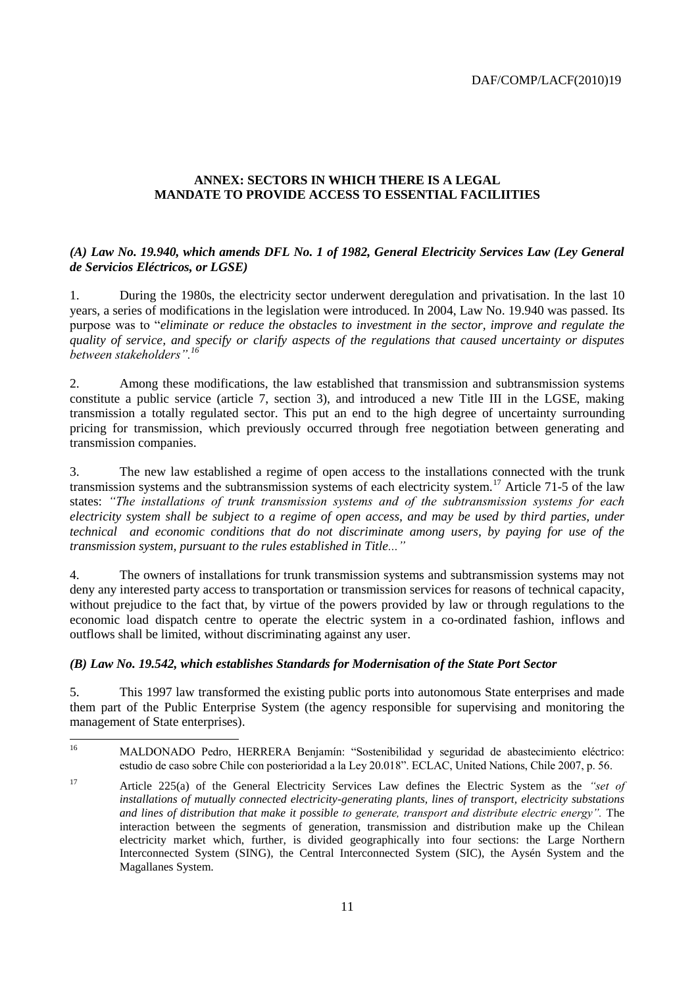## **ANNEX: SECTORS IN WHICH THERE IS A LEGAL MANDATE TO PROVIDE ACCESS TO ESSENTIAL FACILIITIES**

## *(A) Law No. 19.940, which amends DFL No. 1 of 1982, General Electricity Services Law (Ley General de Servicios Eléctricos, or LGSE)*

1. During the 1980s, the electricity sector underwent deregulation and privatisation. In the last 10 years, a series of modifications in the legislation were introduced. In 2004, Law No. 19.940 was passed. Its purpose was to "*eliminate or reduce the obstacles to investment in the sector, improve and regulate the quality of service, and specify or clarify aspects of the regulations that caused uncertainty or disputes between stakeholders".<sup>16</sup>*

2. Among these modifications, the law established that transmission and subtransmission systems constitute a public service (article 7, section 3), and introduced a new Title III in the LGSE, making transmission a totally regulated sector. This put an end to the high degree of uncertainty surrounding pricing for transmission, which previously occurred through free negotiation between generating and transmission companies.

3. The new law established a regime of open access to the installations connected with the trunk transmission systems and the subtransmission systems of each electricity system.<sup>17</sup> Article 71-5 of the law states: *"The installations of trunk transmission systems and of the subtransmission systems for each electricity system shall be subject to a regime of open access, and may be used by third parties, under technical and economic conditions that do not discriminate among users, by paying for use of the transmission system, pursuant to the rules established in Title..."* 

4. The owners of installations for trunk transmission systems and subtransmission systems may not deny any interested party access to transportation or transmission services for reasons of technical capacity, without prejudice to the fact that, by virtue of the powers provided by law or through regulations to the economic load dispatch centre to operate the electric system in a co-ordinated fashion, inflows and outflows shall be limited, without discriminating against any user.

#### *(B) Law No. 19.542, which establishes Standards for Modernisation of the State Port Sector*

5. This 1997 law transformed the existing public ports into autonomous State enterprises and made them part of the Public Enterprise System (the agency responsible for supervising and monitoring the management of State enterprises).

 $16\,$ <sup>16</sup> MALDONADO Pedro, HERRERA Benjamín: "Sostenibilidad y seguridad de abastecimiento eléctrico: estudio de caso sobre Chile con posterioridad a la Ley 20.018". ECLAC, United Nations, Chile 2007, p. 56.

<sup>17</sup> Article 225(a) of the General Electricity Services Law defines the Electric System as the *"set of installations of mutually connected electricity-generating plants, lines of transport, electricity substations and lines of distribution that make it possible to generate, transport and distribute electric energy".* The interaction between the segments of generation, transmission and distribution make up the Chilean electricity market which, further, is divided geographically into four sections: the Large Northern Interconnected System (SING), the Central Interconnected System (SIC), the Aysén System and the Magallanes System.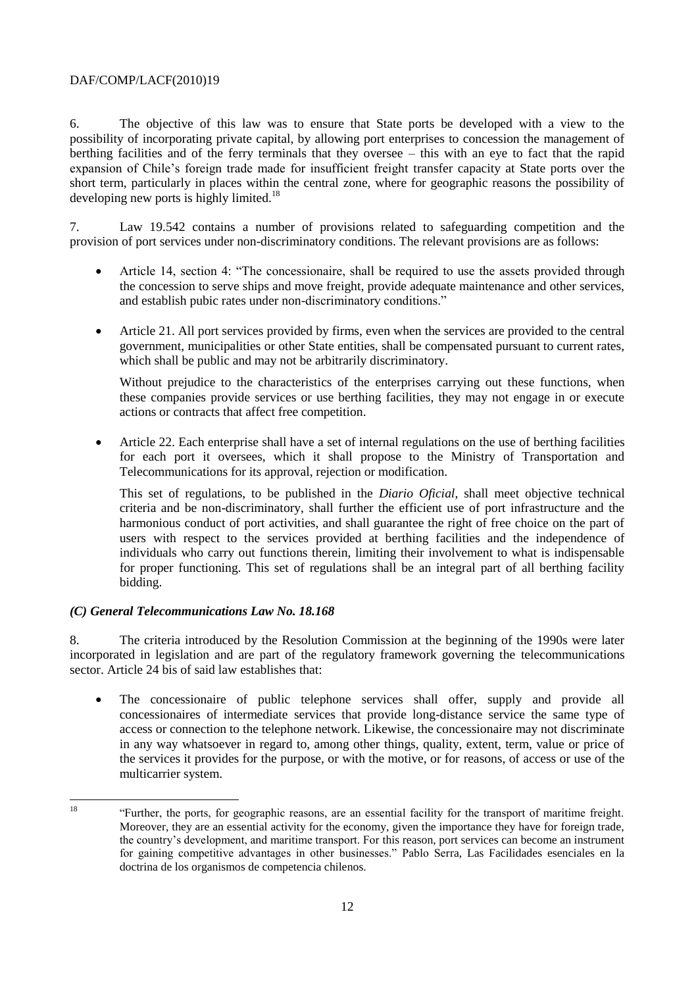6. The objective of this law was to ensure that State ports be developed with a view to the possibility of incorporating private capital, by allowing port enterprises to concession the management of berthing facilities and of the ferry terminals that they oversee – this with an eye to fact that the rapid expansion of Chile's foreign trade made for insufficient freight transfer capacity at State ports over the short term, particularly in places within the central zone, where for geographic reasons the possibility of developing new ports is highly limited.<sup>18</sup>

7. Law 19.542 contains a number of provisions related to safeguarding competition and the provision of port services under non-discriminatory conditions. The relevant provisions are as follows:

- Article 14, section 4: "The concessionaire, shall be required to use the assets provided through the concession to serve ships and move freight, provide adequate maintenance and other services, and establish pubic rates under non-discriminatory conditions."
- Article 21. All port services provided by firms, even when the services are provided to the central government, municipalities or other State entities, shall be compensated pursuant to current rates, which shall be public and may not be arbitrarily discriminatory.

Without prejudice to the characteristics of the enterprises carrying out these functions, when these companies provide services or use berthing facilities, they may not engage in or execute actions or contracts that affect free competition.

 Article 22. Each enterprise shall have a set of internal regulations on the use of berthing facilities for each port it oversees, which it shall propose to the Ministry of Transportation and Telecommunications for its approval, rejection or modification.

This set of regulations, to be published in the *Diario Oficial*, shall meet objective technical criteria and be non-discriminatory, shall further the efficient use of port infrastructure and the harmonious conduct of port activities, and shall guarantee the right of free choice on the part of users with respect to the services provided at berthing facilities and the independence of individuals who carry out functions therein, limiting their involvement to what is indispensable for proper functioning. This set of regulations shall be an integral part of all berthing facility bidding.

#### *(C) General Telecommunications Law No. 18.168*

8. The criteria introduced by the Resolution Commission at the beginning of the 1990s were later incorporated in legislation and are part of the regulatory framework governing the telecommunications sector. Article 24 bis of said law establishes that:

 The concessionaire of public telephone services shall offer, supply and provide all concessionaires of intermediate services that provide long-distance service the same type of access or connection to the telephone network. Likewise, the concessionaire may not discriminate in any way whatsoever in regard to, among other things, quality, extent, term, value or price of the services it provides for the purpose, or with the motive, or for reasons, of access or use of the multicarrier system.

 $10<sup>°</sup>$ <sup>18</sup> "Further, the ports, for geographic reasons, are an essential facility for the transport of maritime freight. Moreover, they are an essential activity for the economy, given the importance they have for foreign trade, the country's development, and maritime transport. For this reason, port services can become an instrument for gaining competitive advantages in other businesses." Pablo Serra, Las Facilidades esenciales en la doctrina de los organismos de competencia chilenos.